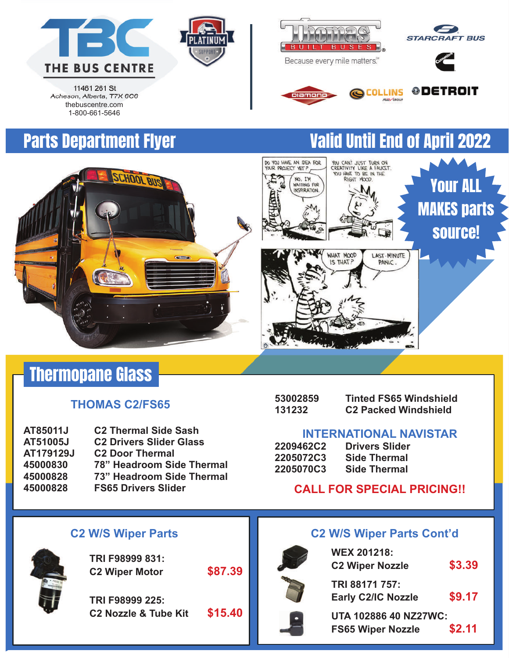



11461 261 St Acheson, Alberta, T7X 6C6 thebuscentre.com 1-800-661-5646





piamond

DO YOU HAVE AN IDEA FOR YOUR PROJECT YET?,

NO. I'M<br>WAITING FOR



LAST-MINUTE

PANIC.

YOU CAN'T JUST TURN ON<br>CREATIVITY LIKE A FAUCET.<br>YOU HAVE TO BE IN THE

RIGHT MOOD

WHAT MOOD

IS THAT?

**@DETROIT** 

Your ALL

MAKES parts

source!

## Parts Department Flyer Valid Until End of April 2022



## Thermopane Glass

### **THOMAS C2/FS65**

| AT85011J  | <b>C2 Thermal Side Sash</b>      |
|-----------|----------------------------------|
| AT51005J  | <b>C2 Drivers Slider Glass</b>   |
| AT179129J | <b>C2 Door Thermal</b>           |
| 45000830  | <b>78" Headroom Side Thermal</b> |
| 45000828  | 73" Headroom Side Thermal        |
| 45000828  | <b>FS65 Drivers Slider</b>       |

| 53002859 | <b>Tinted FS65 Windshield</b> |
|----------|-------------------------------|
| 131232   | <b>C2 Packed Windshield</b>   |

### **INTERNATIONAL NAVISTAR**

| <b>2209462C2</b> | <b>Drivers Slider</b> |
|------------------|-----------------------|
| 2205072C3        | <b>Side Thermal</b>   |
| 2205070C3        | <b>Side Thermal</b>   |

### **CALL FOR SPECIAL PRICING!!**



**TRI F98999 831: C2 Wiper Motor \$87.39**

**TRI F98999 225: C2 Nozzle & Tube Kit \$15.40**



### **C2 W/S Wiper Parts C2 W/S Wiper Parts Cont'd**

**WEX 201218: C2 Wiper Nozzle \$3.39 TRI 88171 757: Early C2/IC Nozzle \$9.17 UTA 102886 40 NZ27WC:** 

**FS65 Wiper Nozzle \$2.11**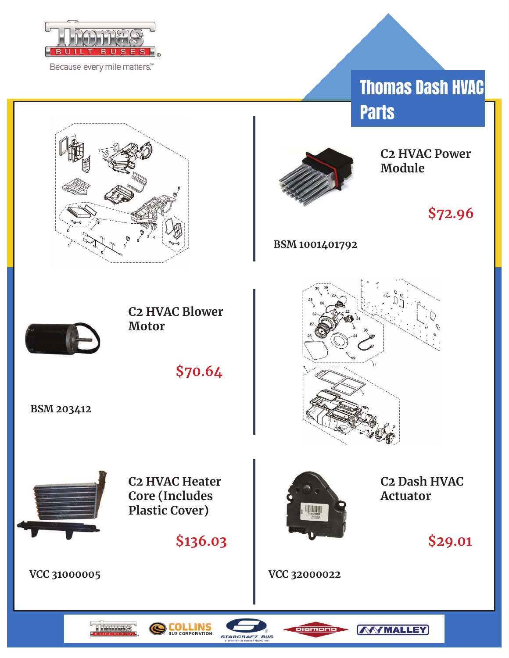

Because every mile matters.<sup>60</sup>

Thomas Dash HVAC **Parts** 



**C2 HVAC Power Module**

**\$72.96**

**BSM 1001401792**





**C2 HVAC Blower Motor**

**\$70.64**

**BSM 203412**



**C2 HVAC Heater Core (Includes Plastic Cover)**

**\$136.03**

**VCC 31000005**



**C2 Dash HVAC Actuator**

**WWMALLEY** 

**\$29.01**

**VCC 32000022**







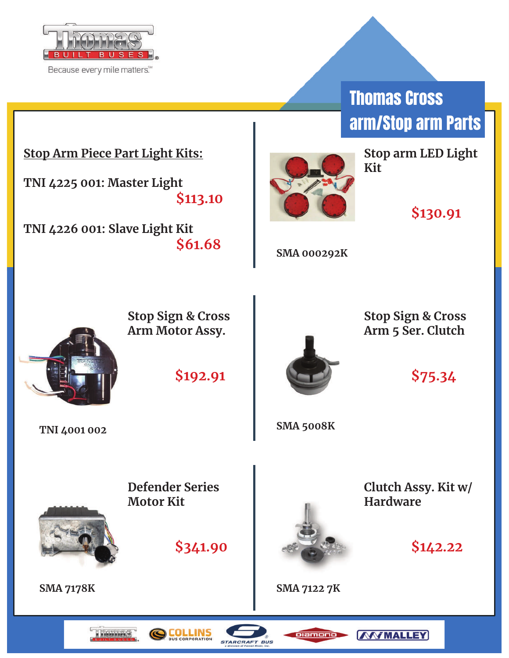

Because every mile matters.<sup>534</sup>

# Thomas Cross arm/Stop arm Parts

### **Stop Arm Piece Part Light Kits:**

**TNI 4225 001: Master Light \$113.10**

**TNI 4226 001: Slave Light Kit \$61.68**



**Stop arm LED Light Kit**

**\$130.91** 

**SMA 000292K**



**Stop Sign & Cross Arm Motor Assy.**

**\$192.91**



**Stop Sign & Cross Arm 5 Ser. Clutch**

**\$75.34**

**TNI 4001 002 SMA 5008K**



**Defender Series Motor Kit**





**Clutch Assy. Kit w/ Hardware**



**SMA 7178K SMA 7122 7K**